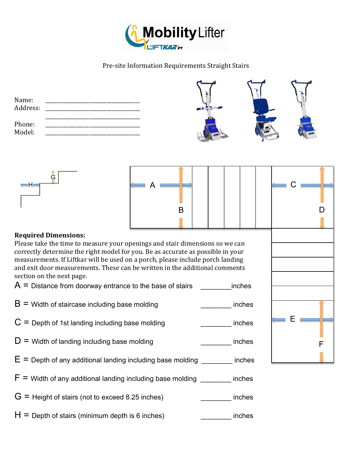

## Pre-site Information Requirements Straight Stairs

| Name:<br>Address: |  |  |
|-------------------|--|--|
| Phone:<br>Model:  |  |  |



| $\leftarrow$ A |  | $\leftarrow$ C |  |
|----------------|--|----------------|--|
| B              |  |                |  |
|                |  |                |  |
|                |  |                |  |

## **Required Dimensions:**

Please take the time to measure your openings and stair dimensions so we can correctly determine the right model for you. Be as accurate as possible in your measurements. If Liftkar will be used on a porch, please include porch landing and exit door measurements. These can be written in the additional comments section on the next page.

 $A =$  Distance from doorway entrance to the base of stairs  $\blacksquare$ 

- $B =$  Width of staircase including base molding  $\blacksquare$  inches
- $C =$  Depth of 1st landing including base molding  $\blacksquare$  inches
- $D =$  Width of landing including base molding  $\blacksquare$
- $E =$  Depth of any additional landing including base molding  $\blacksquare$  inches
- $F =$  Width of any additional landing including base molding  $\blacksquare$  inches
- $G =$  Height of stairs (not to exceed 8.25 inches)  $\qquad \qquad$  inches
- $H =$  Depth of stairs (minimum depth is 6 inches)  $\blacksquare$  inches